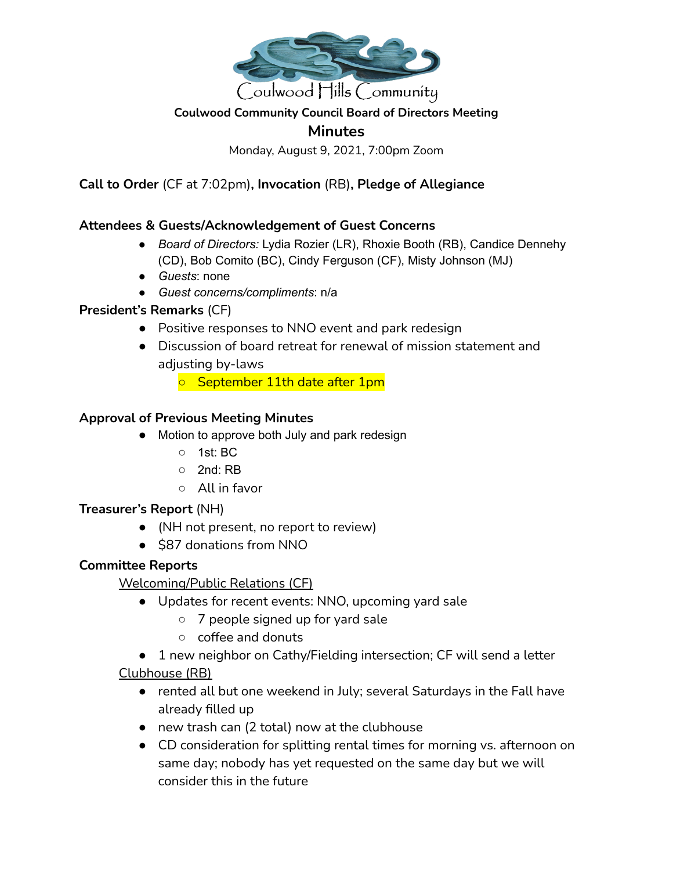

## **Coulwood Community Council Board of Directors Meeting**

# **Minutes**

Monday, August 9, 2021, 7:00pm Zoom

**Call to Order** (CF at 7:02pm)**, Invocation** (RB)**, Pledge of Allegiance**

#### **Attendees & Guests/Acknowledgement of Guest Concerns**

- *Board of Directors:* Lydia Rozier (LR), Rhoxie Booth (RB), Candice Dennehy (CD), Bob Comito (BC), Cindy Ferguson (CF), Misty Johnson (MJ)
- *Guests*: none
- *Guest concerns/compliments*: n/a

#### **President's Remarks** (CF)

- Positive responses to NNO event and park redesign
- Discussion of board retreat for renewal of mission statement and adjusting by-laws
	- September 11th date after 1pm

#### **Approval of Previous Meeting Minutes**

- Motion to approve both July and park redesign
	- 1st: BC
	- 2nd: RB
	- All in favor

#### **Treasurer's Report** (NH)

- (NH not present, no report to review)
- \$87 donations from NNO

## **Committee Reports**

Welcoming/Public Relations (CF)

- Updates for recent events: NNO, upcoming yard sale
	- 7 people signed up for yard sale
	- coffee and donuts
- 1 new neighbor on Cathy/Fielding intersection; CF will send a letter

## Clubhouse (RB)

- rented all but one weekend in July; several Saturdays in the Fall have already filled up
- new trash can (2 total) now at the clubhouse
- CD consideration for splitting rental times for morning vs. afternoon on same day; nobody has yet requested on the same day but we will consider this in the future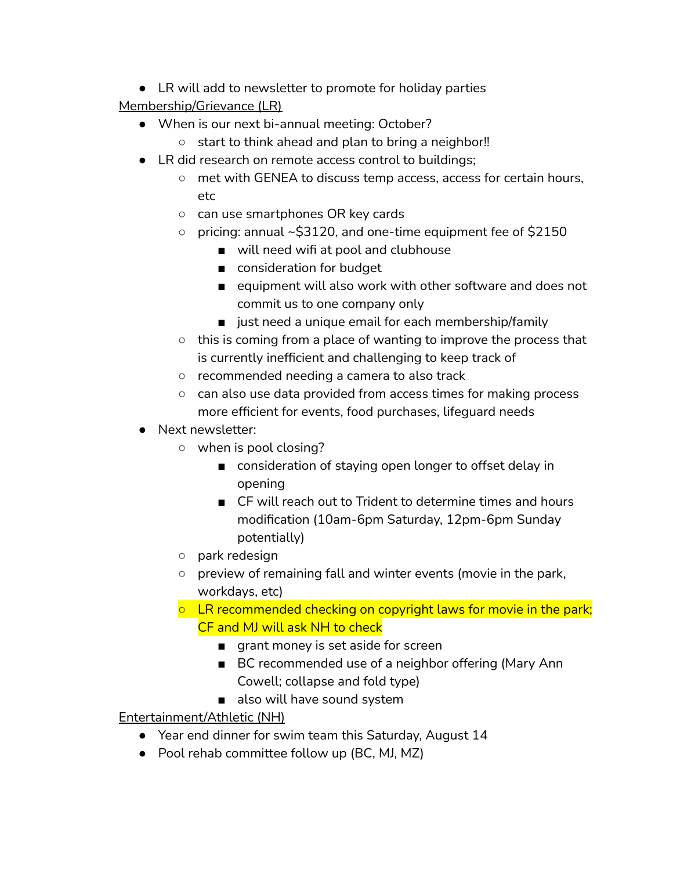● LR will add to newsletter to promote for holiday parties

Membership/Grievance (LR)

- When is our next bi-annual meeting: October?
	- start to think ahead and plan to bring a neighbor!!
- LR did research on remote access control to buildings;
	- met with GENEA to discuss temp access, access for certain hours, etc
	- can use smartphones OR key cards
	- pricing: annual ~\$3120, and one-time equipment fee of \$2150
		- will need wifi at pool and clubhouse
		- consideration for budget
		- equipment will also work with other software and does not commit us to one company only
		- just need a unique email for each membership/family
	- $\circ$  this is coming from a place of wanting to improve the process that is currently inefficient and challenging to keep track of
	- recommended needing a camera to also track
	- can also use data provided from access times for making process more efficient for events, food purchases, lifeguard needs
- Next newsletter:
	- when is pool closing?
		- consideration of staying open longer to offset delay in opening
		- CF will reach out to Trident to determine times and hours modification (10am-6pm Saturday, 12pm-6pm Sunday potentially)
	- park redesign
	- preview of remaining fall and winter events (movie in the park, workdays, etc)
	- LR recommended checking on copyright laws for movie in the park; CF and MJ will ask NH to check
		- grant money is set aside for screen
		- BC recommended use of a neighbor offering (Mary Ann Cowell; collapse and fold type)
		- also will have sound system

Entertainment/Athletic (NH)

- Year end dinner for swim team this Saturday, August 14
- Pool rehab committee follow up (BC, MJ, MZ)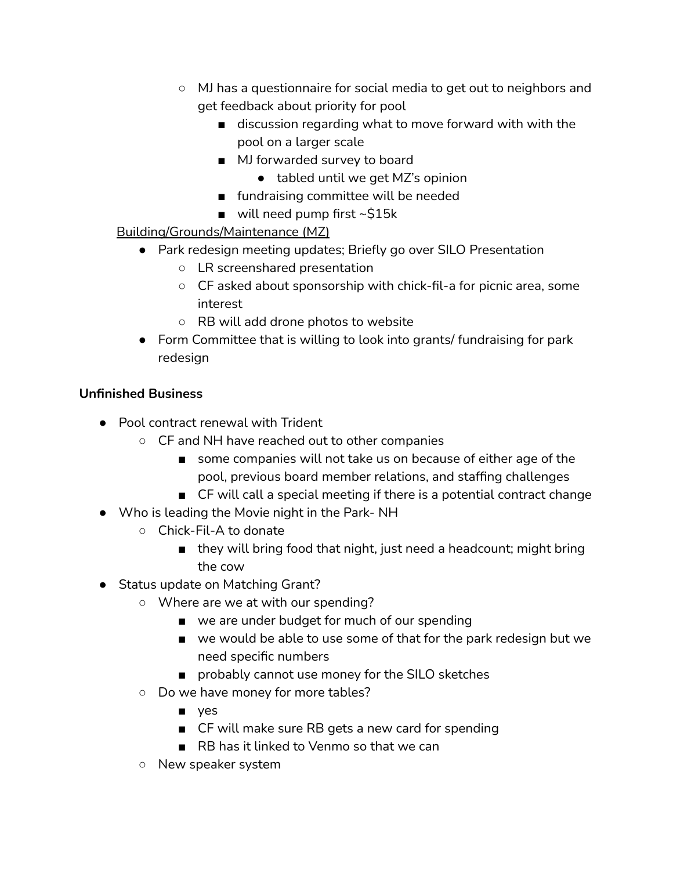- MJ has a questionnaire for social media to get out to neighbors and get feedback about priority for pool
	- discussion regarding what to move forward with with the pool on a larger scale
	- MJ forwarded survey to board
		- tabled until we get MZ's opinion
	- fundraising committee will be needed
	- $\blacksquare$  will need pump first ~\$15k

# Building/Grounds/Maintenance (MZ)

- Park redesign meeting updates; Briefly go over SILO Presentation
	- LR screenshared presentation
	- CF asked about sponsorship with chick-fil-a for picnic area, some interest
	- RB will add drone photos to website
- Form Committee that is willing to look into grants/ fundraising for park redesign

# **Unfinished Business**

- Pool contract renewal with Trident
	- CF and NH have reached out to other companies
		- some companies will not take us on because of either age of the pool, previous board member relations, and staffing challenges
		- CF will call a special meeting if there is a potential contract change
- Who is leading the Movie night in the Park- NH
	- Chick-Fil-A to donate
		- they will bring food that night, just need a headcount; might bring the cow
- Status update on Matching Grant?
	- Where are we at with our spending?
		- we are under budget for much of our spending
		- we would be able to use some of that for the park redesign but we need specific numbers
		- probably cannot use money for the SILO sketches
	- Do we have money for more tables?
		- yes
		- CF will make sure RB gets a new card for spending
		- RB has it linked to Venmo so that we can
	- New speaker system